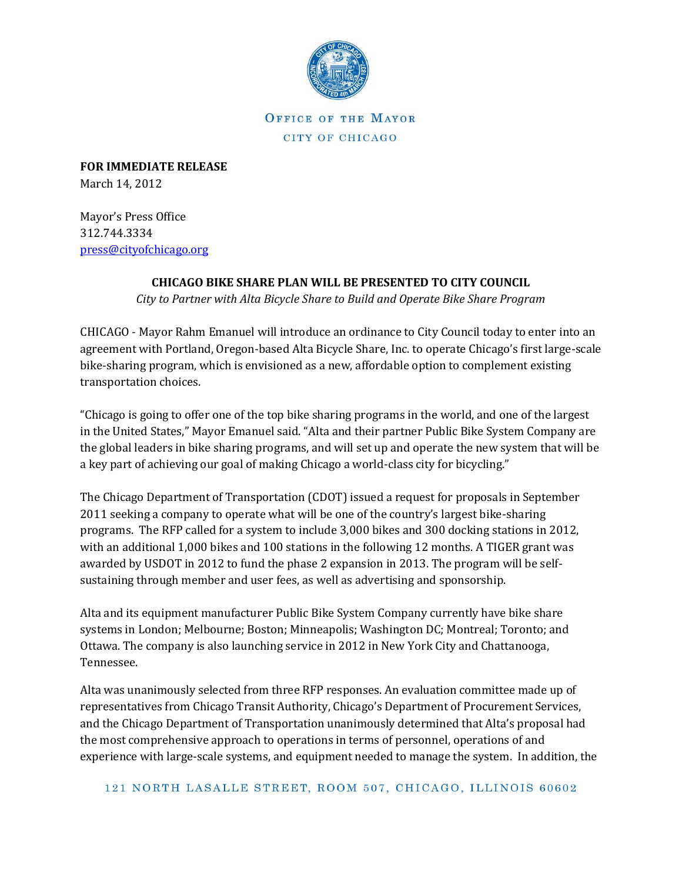

**OFFICE OF THE MAYOR** CITY OF CHICAGO

**FOR IMMEDIATE RELEASE** March 14, 2012

Mayor's Press Office 312.744.3334 [press@cityofchicago.org](mailto:press@cityofchicago.org)

## **CHICAGO BIKE SHARE PLAN WILL BE PRESENTED TO CITY COUNCIL**

*City to Partner with Alta Bicycle Share to Build and Operate Bike Share Program*

CHICAGO - Mayor Rahm Emanuel will introduce an ordinance to City Council today to enter into an agreement with Portland, Oregon-based Alta Bicycle Share, Inc. to operate Chicago's first large-scale bike-sharing program, which is envisioned as a new, affordable option to complement existing transportation choices.

"Chicago is going to offer one of the top bike sharing programs in the world, and one of the largest in the United States," Mayor Emanuel said. "Alta and their partner Public Bike System Company are the global leaders in bike sharing programs, and will set up and operate the new system that will be a key part of achieving our goal of making Chicago a world-class city for bicycling."

The Chicago Department of Transportation (CDOT) issued a request for proposals in September 2011 seeking a company to operate what will be one of the country's largest bike-sharing programs. The RFP called for a system to include 3,000 bikes and 300 docking stations in 2012, with an additional 1,000 bikes and 100 stations in the following 12 months. A TIGER grant was awarded by USDOT in 2012 to fund the phase 2 expansion in 2013. The program will be selfsustaining through member and user fees, as well as advertising and sponsorship.

Alta and its equipment manufacturer Public Bike System Company currently have bike share systems in London; Melbourne; Boston; Minneapolis; Washington DC; Montreal; Toronto; and Ottawa. The company is also launching service in 2012 in New York City and Chattanooga, Tennessee.

Alta was unanimously selected from three RFP responses. An evaluation committee made up of representatives from Chicago Transit Authority, Chicago's Department of Procurement Services, and the Chicago Department of Transportation unanimously determined that Alta's proposal had the most comprehensive approach to operations in terms of personnel, operations of and experience with large-scale systems, and equipment needed to manage the system. In addition, the

121 NORTH LASALLE STREET, ROOM 507, CHICAGO, ILLINOIS 60602